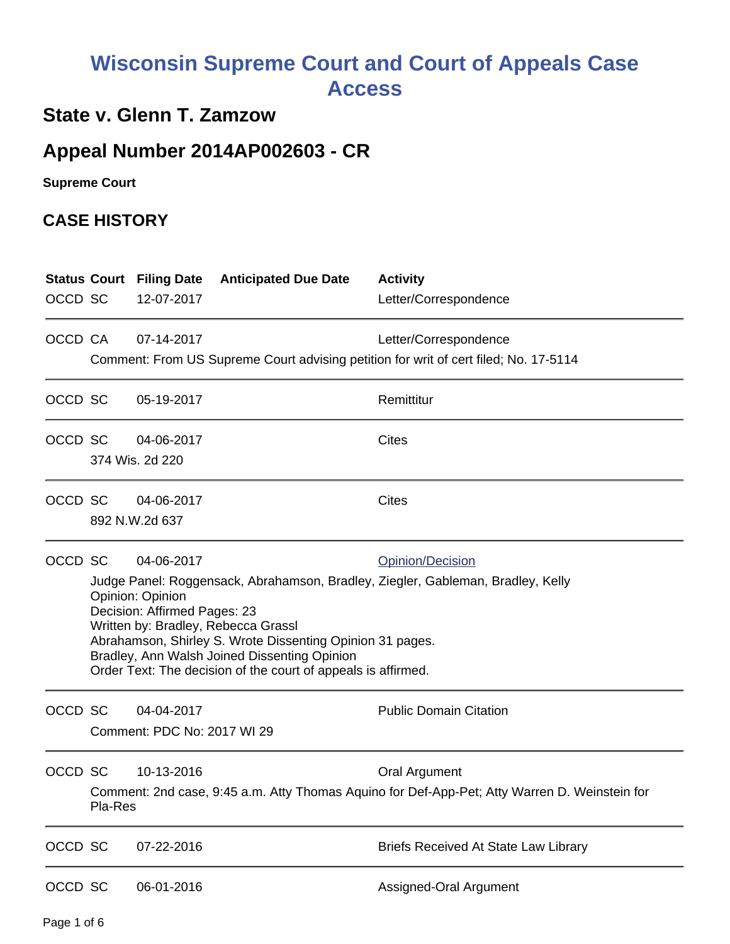## **Wisconsin Supreme Court and Court of Appeals Case Access**

## **State v. Glenn T. Zamzow**

## **Appeal Number 2014AP002603 - CR**

**Supreme Court** 

## **CASE HISTORY**

|         |                                                                                                               | <b>Status Court Filing Date</b>                                                                     | <b>Anticipated Due Date</b> | <b>Activity</b>                             |  |  |  |
|---------|---------------------------------------------------------------------------------------------------------------|-----------------------------------------------------------------------------------------------------|-----------------------------|---------------------------------------------|--|--|--|
| OCCD SC |                                                                                                               | 12-07-2017                                                                                          |                             | Letter/Correspondence                       |  |  |  |
| OCCD CA |                                                                                                               | 07-14-2017                                                                                          |                             | Letter/Correspondence                       |  |  |  |
|         |                                                                                                               | Comment: From US Supreme Court advising petition for writ of cert filed; No. 17-5114                |                             |                                             |  |  |  |
| OCCD SC |                                                                                                               | 05-19-2017                                                                                          |                             | Remittitur                                  |  |  |  |
| OCCD SC |                                                                                                               | 04-06-2017                                                                                          |                             | <b>Cites</b>                                |  |  |  |
|         | 374 Wis. 2d 220                                                                                               |                                                                                                     |                             |                                             |  |  |  |
| OCCD SC |                                                                                                               | 04-06-2017                                                                                          |                             | <b>Cites</b>                                |  |  |  |
|         |                                                                                                               | 892 N.W.2d 637                                                                                      |                             |                                             |  |  |  |
| OCCD SC |                                                                                                               | 04-06-2017                                                                                          |                             | <b>Opinion/Decision</b>                     |  |  |  |
|         |                                                                                                               | Judge Panel: Roggensack, Abrahamson, Bradley, Ziegler, Gableman, Bradley, Kelly<br>Opinion: Opinion |                             |                                             |  |  |  |
|         |                                                                                                               | Decision: Affirmed Pages: 23                                                                        |                             |                                             |  |  |  |
|         |                                                                                                               | Written by: Bradley, Rebecca Grassl<br>Abrahamson, Shirley S. Wrote Dissenting Opinion 31 pages.    |                             |                                             |  |  |  |
|         | Bradley, Ann Walsh Joined Dissenting Opinion<br>Order Text: The decision of the court of appeals is affirmed. |                                                                                                     |                             |                                             |  |  |  |
| OCCD SC |                                                                                                               | 04-04-2017                                                                                          |                             | <b>Public Domain Citation</b>               |  |  |  |
|         | Comment: PDC No: 2017 WI 29                                                                                   |                                                                                                     |                             |                                             |  |  |  |
| OCCD SC |                                                                                                               | 10-13-2016                                                                                          |                             | Oral Argument                               |  |  |  |
|         | Comment: 2nd case, 9:45 a.m. Atty Thomas Aquino for Def-App-Pet; Atty Warren D. Weinstein for<br>Pla-Res      |                                                                                                     |                             |                                             |  |  |  |
| OCCD SC |                                                                                                               | 07-22-2016                                                                                          |                             | <b>Briefs Received At State Law Library</b> |  |  |  |
| OCCD SC |                                                                                                               | 06-01-2016                                                                                          |                             | Assigned-Oral Argument                      |  |  |  |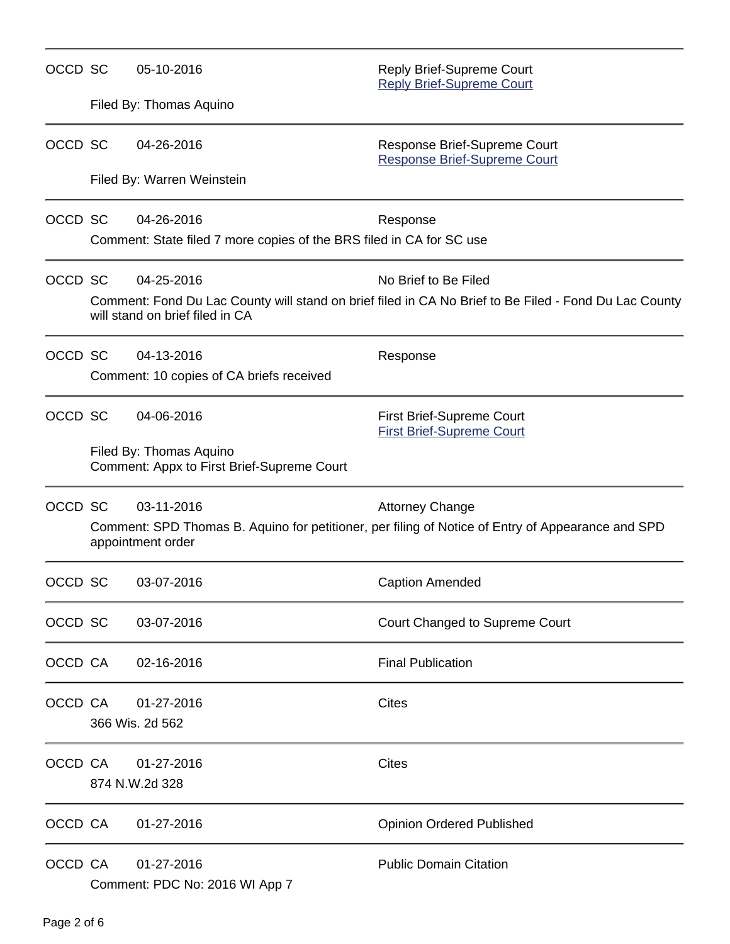| OCCD SC | 05-10-2016                                                                                                                               | Reply Brief-Supreme Court<br><b>Reply Brief-Supreme Court</b>                                     |  |  |  |
|---------|------------------------------------------------------------------------------------------------------------------------------------------|---------------------------------------------------------------------------------------------------|--|--|--|
|         | Filed By: Thomas Aquino                                                                                                                  |                                                                                                   |  |  |  |
| OCCD SC | 04-26-2016                                                                                                                               | Response Brief-Supreme Court<br><b>Response Brief-Supreme Court</b>                               |  |  |  |
|         | Filed By: Warren Weinstein                                                                                                               |                                                                                                   |  |  |  |
| OCCD SC | 04-26-2016                                                                                                                               | Response                                                                                          |  |  |  |
|         | Comment: State filed 7 more copies of the BRS filed in CA for SC use                                                                     |                                                                                                   |  |  |  |
| OCCD SC | 04-25-2016                                                                                                                               | No Brief to Be Filed                                                                              |  |  |  |
|         | Comment: Fond Du Lac County will stand on brief filed in CA No Brief to Be Filed - Fond Du Lac County<br>will stand on brief filed in CA |                                                                                                   |  |  |  |
| OCCD SC | 04-13-2016                                                                                                                               | Response                                                                                          |  |  |  |
|         | Comment: 10 copies of CA briefs received                                                                                                 |                                                                                                   |  |  |  |
| OCCD SC | 04-06-2016                                                                                                                               | First Brief-Supreme Court<br><b>First Brief-Supreme Court</b>                                     |  |  |  |
|         | Filed By: Thomas Aquino<br>Comment: Appx to First Brief-Supreme Court                                                                    |                                                                                                   |  |  |  |
| OCCD SC | 03-11-2016                                                                                                                               | <b>Attorney Change</b>                                                                            |  |  |  |
|         | appointment order                                                                                                                        | Comment: SPD Thomas B. Aquino for petitioner, per filing of Notice of Entry of Appearance and SPD |  |  |  |
| OCCD SC | 03-07-2016                                                                                                                               | <b>Caption Amended</b>                                                                            |  |  |  |
| OCCD SC | 03-07-2016                                                                                                                               | Court Changed to Supreme Court                                                                    |  |  |  |
| OCCD CA | 02-16-2016                                                                                                                               | <b>Final Publication</b>                                                                          |  |  |  |
| OCCD CA | 01-27-2016                                                                                                                               | <b>Cites</b>                                                                                      |  |  |  |
|         | 366 Wis. 2d 562                                                                                                                          |                                                                                                   |  |  |  |
| OCCD CA | 01-27-2016                                                                                                                               | Cites                                                                                             |  |  |  |
|         | 874 N.W.2d 328                                                                                                                           |                                                                                                   |  |  |  |
| OCCD CA | 01-27-2016                                                                                                                               | <b>Opinion Ordered Published</b>                                                                  |  |  |  |
| OCCD CA | 01-27-2016<br>Comment: PDC No: 2016 WI App 7                                                                                             | <b>Public Domain Citation</b>                                                                     |  |  |  |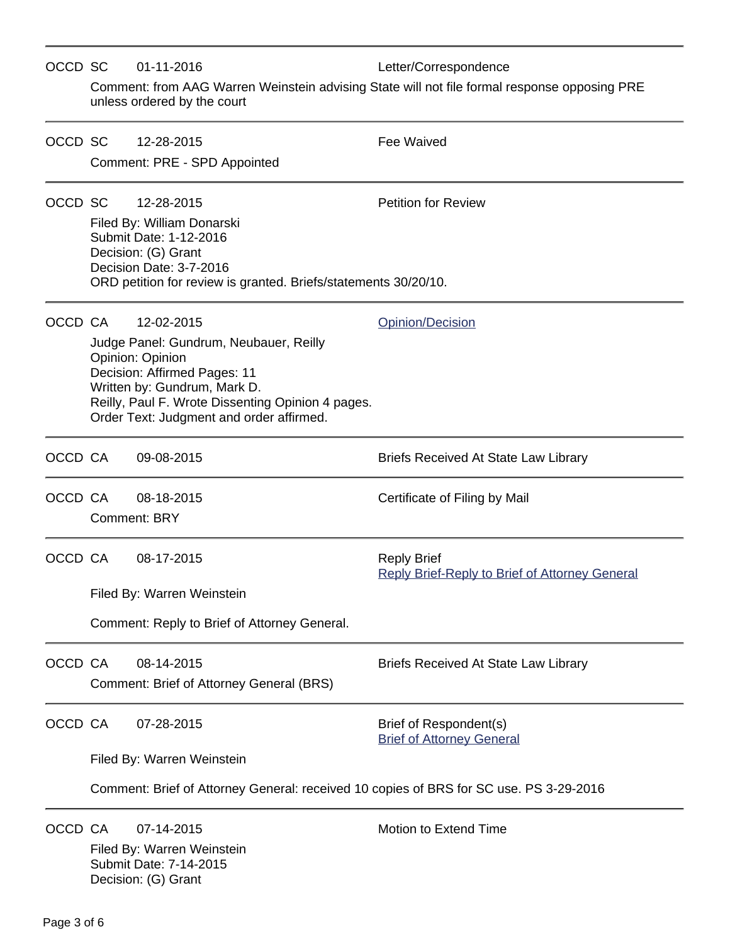| OCCD SC |                                                                                        | 01-11-2016                                                                                                                                                                                                                  | Letter/Correspondence                                                                        |  |  |  |
|---------|----------------------------------------------------------------------------------------|-----------------------------------------------------------------------------------------------------------------------------------------------------------------------------------------------------------------------------|----------------------------------------------------------------------------------------------|--|--|--|
|         |                                                                                        | unless ordered by the court                                                                                                                                                                                                 | Comment: from AAG Warren Weinstein advising State will not file formal response opposing PRE |  |  |  |
| OCCD SC |                                                                                        | 12-28-2015                                                                                                                                                                                                                  | <b>Fee Waived</b>                                                                            |  |  |  |
|         |                                                                                        | Comment: PRE - SPD Appointed                                                                                                                                                                                                |                                                                                              |  |  |  |
| OCCD SC |                                                                                        | 12-28-2015                                                                                                                                                                                                                  | <b>Petition for Review</b>                                                                   |  |  |  |
|         |                                                                                        | Filed By: William Donarski<br>Submit Date: 1-12-2016<br>Decision: (G) Grant<br>Decision Date: 3-7-2016                                                                                                                      |                                                                                              |  |  |  |
|         |                                                                                        | ORD petition for review is granted. Briefs/statements 30/20/10.                                                                                                                                                             |                                                                                              |  |  |  |
| OCCD CA |                                                                                        | 12-02-2015                                                                                                                                                                                                                  | Opinion/Decision                                                                             |  |  |  |
|         |                                                                                        | Judge Panel: Gundrum, Neubauer, Reilly<br>Opinion: Opinion<br>Decision: Affirmed Pages: 11<br>Written by: Gundrum, Mark D.<br>Reilly, Paul F. Wrote Dissenting Opinion 4 pages.<br>Order Text: Judgment and order affirmed. |                                                                                              |  |  |  |
| OCCD CA |                                                                                        | 09-08-2015                                                                                                                                                                                                                  | <b>Briefs Received At State Law Library</b>                                                  |  |  |  |
| OCCD CA |                                                                                        | 08-18-2015<br><b>Comment: BRY</b>                                                                                                                                                                                           | Certificate of Filing by Mail                                                                |  |  |  |
| OCCD CA |                                                                                        | 08-17-2015                                                                                                                                                                                                                  | <b>Reply Brief</b><br><b>Reply Brief-Reply to Brief of Attorney General</b>                  |  |  |  |
|         | Filed By: Warren Weinstein                                                             |                                                                                                                                                                                                                             |                                                                                              |  |  |  |
|         | Comment: Reply to Brief of Attorney General.                                           |                                                                                                                                                                                                                             |                                                                                              |  |  |  |
| OCCD CA |                                                                                        | 08-14-2015<br>Comment: Brief of Attorney General (BRS)                                                                                                                                                                      | <b>Briefs Received At State Law Library</b>                                                  |  |  |  |
| OCCD CA |                                                                                        | 07-28-2015                                                                                                                                                                                                                  | Brief of Respondent(s)<br><b>Brief of Attorney General</b>                                   |  |  |  |
|         |                                                                                        | Filed By: Warren Weinstein                                                                                                                                                                                                  |                                                                                              |  |  |  |
|         | Comment: Brief of Attorney General: received 10 copies of BRS for SC use. PS 3-29-2016 |                                                                                                                                                                                                                             |                                                                                              |  |  |  |
| OCCD CA |                                                                                        | 07-14-2015<br>Filed By: Warren Weinstein<br>Submit Date: 7-14-2015<br>Decision: (G) Grant                                                                                                                                   | Motion to Extend Time                                                                        |  |  |  |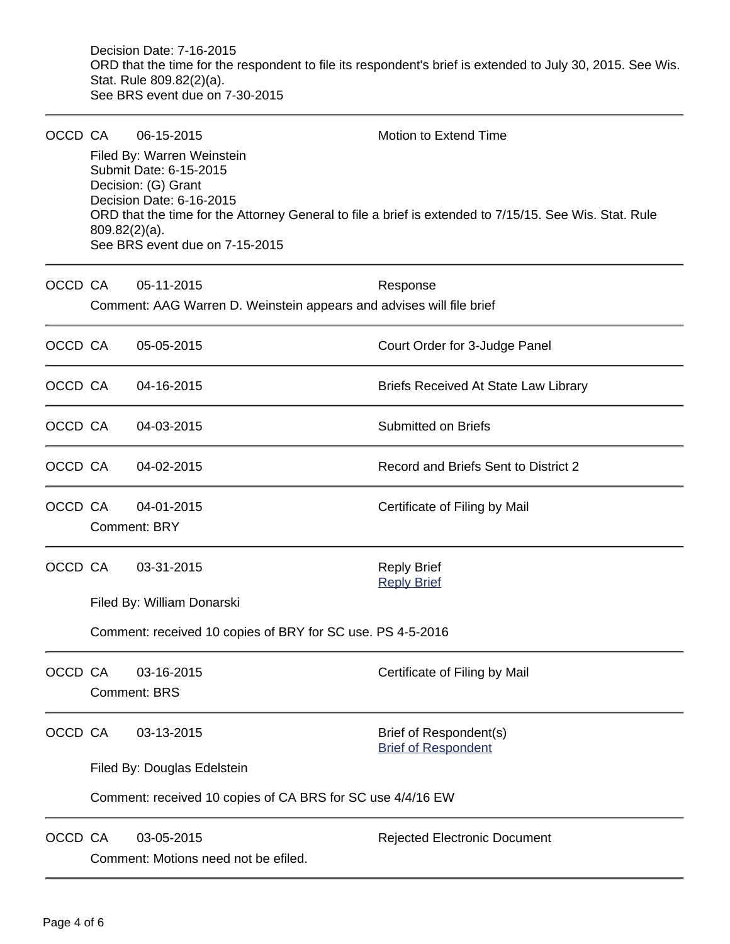Decision Date: 7-16-2015 ORD that the time for the respondent to file its respondent's brief is extended to July 30, 2015. See Wis. Stat. Rule 809.82(2)(a). See BRS event due on 7-30-2015

| OCCD CA |                                                            | 06-15-2015                                                                                                                                | Motion to Extend Time                                                                                  |  |  |  |
|---------|------------------------------------------------------------|-------------------------------------------------------------------------------------------------------------------------------------------|--------------------------------------------------------------------------------------------------------|--|--|--|
|         | $809.82(2)(a)$ .                                           | Filed By: Warren Weinstein<br>Submit Date: 6-15-2015<br>Decision: (G) Grant<br>Decision Date: 6-16-2015<br>See BRS event due on 7-15-2015 | ORD that the time for the Attorney General to file a brief is extended to 7/15/15. See Wis. Stat. Rule |  |  |  |
| OCCD CA |                                                            | 05-11-2015<br>Comment: AAG Warren D. Weinstein appears and advises will file brief                                                        | Response                                                                                               |  |  |  |
| OCCD CA |                                                            | 05-05-2015                                                                                                                                | Court Order for 3-Judge Panel                                                                          |  |  |  |
| OCCD CA |                                                            | 04-16-2015                                                                                                                                | Briefs Received At State Law Library                                                                   |  |  |  |
| OCCD CA |                                                            | 04-03-2015                                                                                                                                | <b>Submitted on Briefs</b>                                                                             |  |  |  |
| OCCD CA |                                                            | 04-02-2015                                                                                                                                | Record and Briefs Sent to District 2                                                                   |  |  |  |
| OCCD CA |                                                            | 04-01-2015<br><b>Comment: BRY</b>                                                                                                         | Certificate of Filing by Mail                                                                          |  |  |  |
| OCCD CA |                                                            | 03-31-2015                                                                                                                                | <b>Reply Brief</b><br><b>Reply Brief</b>                                                               |  |  |  |
|         | Filed By: William Donarski                                 |                                                                                                                                           |                                                                                                        |  |  |  |
|         |                                                            | Comment: received 10 copies of BRY for SC use. PS 4-5-2016                                                                                |                                                                                                        |  |  |  |
| OCCD CA |                                                            | 03-16-2015<br><b>Comment: BRS</b>                                                                                                         | Certificate of Filing by Mail                                                                          |  |  |  |
| OCCD CA |                                                            | 03-13-2015                                                                                                                                | Brief of Respondent(s)<br><b>Brief of Respondent</b>                                                   |  |  |  |
|         |                                                            | Filed By: Douglas Edelstein                                                                                                               |                                                                                                        |  |  |  |
|         | Comment: received 10 copies of CA BRS for SC use 4/4/16 EW |                                                                                                                                           |                                                                                                        |  |  |  |
| OCCD CA |                                                            | 03-05-2015<br>Comment: Motions need not be efiled.                                                                                        | <b>Rejected Electronic Document</b>                                                                    |  |  |  |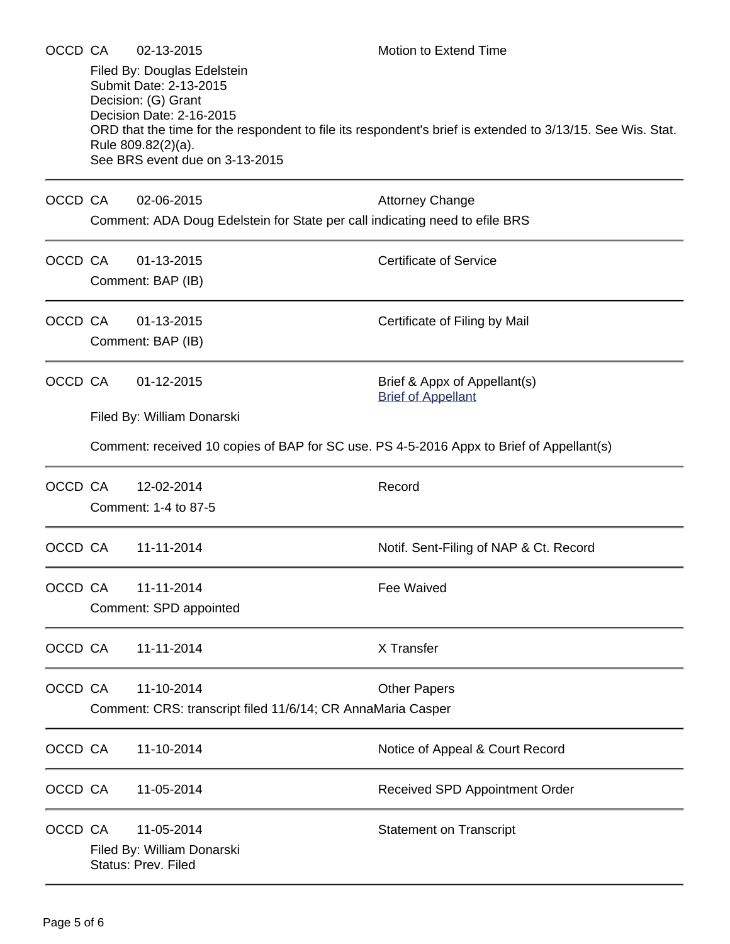| OCCD CA |                                                                                                  | 02-13-2015<br>Filed By: Douglas Edelstein<br>Submit Date: 2-13-2015<br>Decision: (G) Grant<br>Decision Date: 2-16-2015<br>Rule 809.82(2)(a).<br>See BRS event due on 3-13-2015 | Motion to Extend Time<br>ORD that the time for the respondent to file its respondent's brief is extended to 3/13/15. See Wis. Stat. |  |  |  |
|---------|--------------------------------------------------------------------------------------------------|--------------------------------------------------------------------------------------------------------------------------------------------------------------------------------|-------------------------------------------------------------------------------------------------------------------------------------|--|--|--|
| OCCD CA |                                                                                                  | 02-06-2015<br>Comment: ADA Doug Edelstein for State per call indicating need to efile BRS                                                                                      | <b>Attorney Change</b>                                                                                                              |  |  |  |
| OCCD CA |                                                                                                  | 01-13-2015<br>Comment: BAP (IB)                                                                                                                                                | <b>Certificate of Service</b>                                                                                                       |  |  |  |
| OCCD CA |                                                                                                  | 01-13-2015<br>Comment: BAP (IB)                                                                                                                                                | Certificate of Filing by Mail                                                                                                       |  |  |  |
| OCCD CA |                                                                                                  | 01-12-2015                                                                                                                                                                     | Brief & Appx of Appellant(s)<br><b>Brief of Appellant</b>                                                                           |  |  |  |
|         |                                                                                                  | Filed By: William Donarski<br>Comment: received 10 copies of BAP for SC use. PS 4-5-2016 Appx to Brief of Appellant(s)                                                         |                                                                                                                                     |  |  |  |
| OCCD CA |                                                                                                  | 12-02-2014<br>Comment: 1-4 to 87-5                                                                                                                                             | Record                                                                                                                              |  |  |  |
| OCCD CA |                                                                                                  | 11-11-2014                                                                                                                                                                     | Notif. Sent-Filing of NAP & Ct. Record                                                                                              |  |  |  |
| OCCD CA |                                                                                                  | 11-11-2014<br>Comment: SPD appointed                                                                                                                                           | Fee Waived                                                                                                                          |  |  |  |
| OCCD CA |                                                                                                  | 11-11-2014                                                                                                                                                                     | X Transfer                                                                                                                          |  |  |  |
| OCCD CA | 11-10-2014<br><b>Other Papers</b><br>Comment: CRS: transcript filed 11/6/14; CR AnnaMaria Casper |                                                                                                                                                                                |                                                                                                                                     |  |  |  |
| OCCD CA |                                                                                                  | 11-10-2014                                                                                                                                                                     | Notice of Appeal & Court Record                                                                                                     |  |  |  |
| OCCD CA |                                                                                                  | 11-05-2014                                                                                                                                                                     | Received SPD Appointment Order                                                                                                      |  |  |  |
| OCCD CA |                                                                                                  | 11-05-2014<br>Filed By: William Donarski<br>Status: Prev. Filed                                                                                                                | <b>Statement on Transcript</b>                                                                                                      |  |  |  |